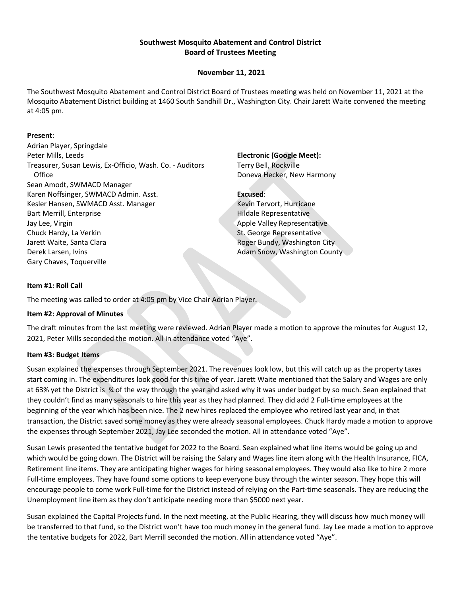### **Southwest Mosquito Abatement and Control District Board of Trustees Meeting**

### **November 11, 2021**

The Southwest Mosquito Abatement and Control District Board of Trustees meeting was held on November 11, 2021 at the Mosquito Abatement District building at 1460 South Sandhill Dr., Washington City. Chair Jarett Waite convened the meeting at 4:05 pm.

#### **Present**:

Adrian Player, Springdale Peter Mills, Leeds Treasurer, Susan Lewis, Ex-Officio, Wash. Co. - Auditors **Office** Sean Amodt, SWMACD Manager Karen Noffsinger, SWMACD Admin. Asst. Kesler Hansen, SWMACD Asst. Manager Bart Merrill, Enterprise Jay Lee, Virgin Chuck Hardy, La Verkin Jarett Waite, Santa Clara Derek Larsen, Ivins Gary Chaves, Toquerville

**Electronic (Google Meet):** Terry Bell, Rockville Doneva Hecker, New Harmony

#### **Excused**:

Kevin Tervort, Hurricane Hildale Representative Apple Valley Representative St. George Representative Roger Bundy, Washington City Adam Snow, Washington County

### **Item #1: Roll Call**

The meeting was called to order at 4:05 pm by Vice Chair Adrian Player.

#### **Item #2: Approval of Minutes**

The draft minutes from the last meeting were reviewed. Adrian Player made a motion to approve the minutes for August 12, 2021, Peter Mills seconded the motion. All in attendance voted "Aye".

#### **Item #3: Budget Items**

Susan explained the expenses through September 2021. The revenues look low, but this will catch up as the property taxes start coming in. The expenditures look good for this time of year. Jarett Waite mentioned that the Salary and Wages are only at 63% yet the District is % of the way through the year and asked why it was under budget by so much. Sean explained that they couldn't find as many seasonals to hire this year as they had planned. They did add 2 Full-time employees at the beginning of the year which has been nice. The 2 new hires replaced the employee who retired last year and, in that transaction, the District saved some money as they were already seasonal employees. Chuck Hardy made a motion to approve the expenses through September 2021, Jay Lee seconded the motion. All in attendance voted "Aye".

Susan Lewis presented the tentative budget for 2022 to the Board. Sean explained what line items would be going up and which would be going down. The District will be raising the Salary and Wages line item along with the Health Insurance, FICA, Retirement line items. They are anticipating higher wages for hiring seasonal employees. They would also like to hire 2 more Full-time employees. They have found some options to keep everyone busy through the winter season. They hope this will encourage people to come work Full-time for the District instead of relying on the Part-time seasonals. They are reducing the Unemployment line item as they don't anticipate needing more than \$5000 next year.

Susan explained the Capital Projects fund. In the next meeting, at the Public Hearing, they will discuss how much money will be transferred to that fund, so the District won't have too much money in the general fund. Jay Lee made a motion to approve the tentative budgets for 2022, Bart Merrill seconded the motion. All in attendance voted "Aye".